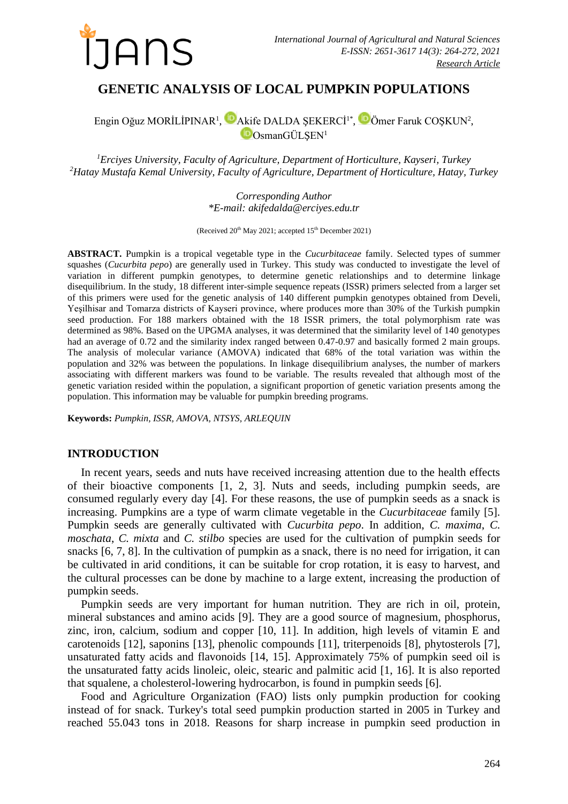

# **GENETIC ANALYSIS OF LOCAL PUMPKIN POPULATIONS**

Engin Oğuz MORİLİPINAR<sup>1</sup>, MAkife DALDA ŞEKERCİ<sup>1\*</sup>, MÖmer Faruk COŞKUN<sup>2</sup>,  $\Box$ OsmanGÜLSEN<sup>1</sup>

*<sup>1</sup>Erciyes University, Faculty of Agriculture, Department of Horticulture, Kayseri, Turkey <sup>2</sup>Hatay Mustafa Kemal University, Faculty of Agriculture, Department of Horticulture, Hatay, Turkey*

> *Corresponding Author \*E-mail: [akifedalda@erciyes.edu.tr](mailto:akifedalda@erciyes.edu.tr)*

(Received  $20^{th}$  May 2021; accepted  $15^{th}$  December 2021)

**ABSTRACT.** Pumpkin is a tropical vegetable type in the *Cucurbitaceae* family. Selected types of summer squashes (*Cucurbita pepo*) are generally used in Turkey. This study was conducted to investigate the level of variation in different pumpkin genotypes, to determine genetic relationships and to determine linkage disequilibrium. In the study, 18 different inter-simple sequence repeats (ISSR) primers selected from a larger set of this primers were used for the genetic analysis of 140 different pumpkin genotypes obtained from Develi, Yeşilhisar and Tomarza districts of Kayseri province, where produces more than 30% of the Turkish pumpkin seed production. For 188 markers obtained with the 18 ISSR primers, the total polymorphism rate was determined as 98%. Based on the UPGMA analyses, it was determined that the similarity level of 140 genotypes had an average of 0.72 and the similarity index ranged between 0.47-0.97 and basically formed 2 main groups. The analysis of molecular variance (AMOVA) indicated that 68% of the total variation was within the population and 32% was between the populations. In linkage disequilibrium analyses, the number of markers associating with different markers was found to be variable. The results revealed that although most of the genetic variation resided within the population, a significant proportion of genetic variation presents among the population. This information may be valuable for pumpkin breeding programs.

**Keywords:** *Pumpkin, ISSR, AMOVA, NTSYS, ARLEQUIN*

### **INTRODUCTION**

In recent years, seeds and nuts have received increasing attention due to the health effects of their bioactive components [1, 2, 3]. Nuts and seeds, including pumpkin seeds, are consumed regularly every day [4]. For these reasons, the use of pumpkin seeds as a snack is increasing. Pumpkins are a type of warm climate vegetable in the *Cucurbitaceae* family [5]. Pumpkin seeds are generally cultivated with *Cucurbita pepo*. In addition, *C. maxima*, *C. moschata*, *C. mixta* and *C. stilbo* species are used for the cultivation of pumpkin seeds for snacks [6, 7, 8]. In the cultivation of pumpkin as a snack, there is no need for irrigation, it can be cultivated in arid conditions, it can be suitable for crop rotation, it is easy to harvest, and the cultural processes can be done by machine to a large extent, increasing the production of pumpkin seeds.

Pumpkin seeds are very important for human nutrition. They are rich in oil, protein, mineral substances and amino acids [9]. They are a good source of magnesium, phosphorus, zinc, iron, calcium, sodium and copper [10, 11]. In addition, high levels of vitamin E and carotenoids [12], saponins [13], phenolic compounds [11], triterpenoids [8], phytosterols [7], unsaturated fatty acids and flavonoids [14, 15]. Approximately 75% of pumpkin seed oil is the unsaturated fatty acids linoleic, oleic, stearic and palmitic acid [1, 16]. It is also reported that squalene, a cholesterol-lowering hydrocarbon, is found in pumpkin seeds [6].

Food and Agriculture Organization (FAO) lists only pumpkin production for cooking instead of for snack. Turkey's total seed pumpkin production started in 2005 in Turkey and reached 55.043 tons in 2018. Reasons for sharp increase in pumpkin seed production in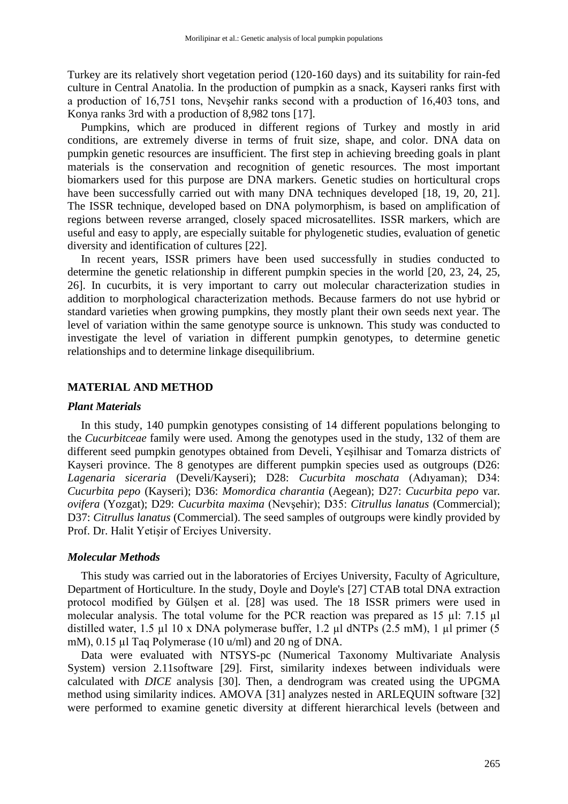Turkey are its relatively short vegetation period (120-160 days) and its suitability for rain-fed culture in Central Anatolia. In the production of pumpkin as a snack, Kayseri ranks first with a production of 16,751 tons, Nevşehir ranks second with a production of 16,403 tons, and Konya ranks 3rd with a production of 8,982 tons [17].

Pumpkins, which are produced in different regions of Turkey and mostly in arid conditions, are extremely diverse in terms of fruit size, shape, and color. DNA data on pumpkin genetic resources are insufficient. The first step in achieving breeding goals in plant materials is the conservation and recognition of genetic resources. The most important biomarkers used for this purpose are DNA markers. Genetic studies on horticultural crops have been successfully carried out with many DNA techniques developed [18, 19, 20, 21]. The ISSR technique, developed based on DNA polymorphism, is based on amplification of regions between reverse arranged, closely spaced microsatellites. ISSR markers, which are useful and easy to apply, are especially suitable for phylogenetic studies, evaluation of genetic diversity and identification of cultures [22].

In recent years, ISSR primers have been used successfully in studies conducted to determine the genetic relationship in different pumpkin species in the world [20, 23, 24, 25, 26]. In cucurbits, it is very important to carry out molecular characterization studies in addition to morphological characterization methods. Because farmers do not use hybrid or standard varieties when growing pumpkins, they mostly plant their own seeds next year. The level of variation within the same genotype source is unknown. This study was conducted to investigate the level of variation in different pumpkin genotypes, to determine genetic relationships and to determine linkage disequilibrium.

## **MATERIAL AND METHOD**

#### *Plant Materials*

In this study, 140 pumpkin genotypes consisting of 14 different populations belonging to the *Cucurbitceae* family were used. Among the genotypes used in the study, 132 of them are different seed pumpkin genotypes obtained from Develi, Yeşilhisar and Tomarza districts of Kayseri province. The 8 genotypes are different pumpkin species used as outgroups (D26: *Lagenaria siceraria* (Develi/Kayseri); D28: *Cucurbita moschata* (Adıyaman); D34: *Cucurbita pepo* (Kayseri); D36: *Momordica charantia* (Aegean); D27: *Cucurbita pepo* var*. ovifera* (Yozgat); D29: *Cucurbita maxima* (Nevşehir); D35: *Citrullus lanatus* (Commercial); D37: *Citrullus lanatus* (Commercial). The seed samples of outgroups were kindly provided by Prof. Dr. Halit Yetişir of Erciyes University.

#### *Molecular Methods*

This study was carried out in the laboratories of Erciyes University, Faculty of Agriculture, Department of Horticulture. In the study, Doyle and Doyle's [27] CTAB total DNA extraction protocol modified by Gülşen et al. [28] was used. The 18 ISSR primers were used in molecular analysis. The total volume for the PCR reaction was prepared as 15 µl: 7.15 µl distilled water, 1.5 µl 10 x DNA polymerase buffer, 1.2 µl dNTPs (2.5 mM), 1 µl primer (5 mM), 0.15 µl Taq Polymerase (10 u/ml) and 20 ng of DNA.

Data were evaluated with NTSYS-pc (Numerical Taxonomy Multivariate Analysis System) version 2.11software [29]. First, similarity indexes between individuals were calculated with *DICE* analysis [30]. Then, a dendrogram was created using the UPGMA method using similarity indices. AMOVA [31] analyzes nested in ARLEQUIN software [32] were performed to examine genetic diversity at different hierarchical levels (between and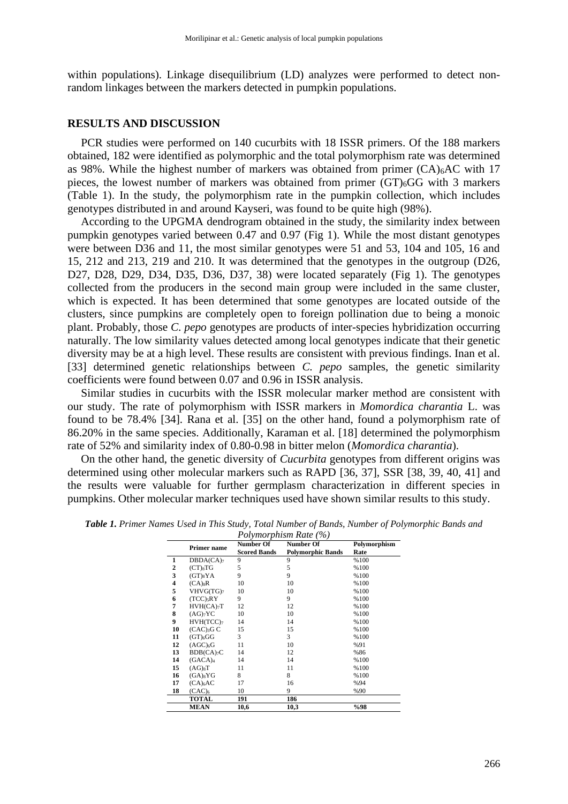within populations). Linkage disequilibrium (LD) analyzes were performed to detect nonrandom linkages between the markers detected in pumpkin populations.

#### **RESULTS AND DISCUSSION**

PCR studies were performed on 140 cucurbits with 18 ISSR primers. Of the 188 markers obtained, 182 were identified as polymorphic and the total polymorphism rate was determined as 98%. While the highest number of markers was obtained from primer (CA)<sub>6</sub>AC with 17 pieces, the lowest number of markers was obtained from primer (GT)6GG with 3 markers (Table 1). In the study, the polymorphism rate in the pumpkin collection, which includes genotypes distributed in and around Kayseri, was found to be quite high (98%).

According to the UPGMA dendrogram obtained in the study, the similarity index between pumpkin genotypes varied between 0.47 and 0.97 (Fig 1). While the most distant genotypes were between D36 and 11, the most similar genotypes were 51 and 53, 104 and 105, 16 and 15, 212 and 213, 219 and 210. It was determined that the genotypes in the outgroup (D26, D27, D28, D29, D34, D35, D36, D37, 38) were located separately (Fig 1). The genotypes collected from the producers in the second main group were included in the same cluster, which is expected. It has been determined that some genotypes are located outside of the clusters, since pumpkins are completely open to foreign pollination due to being a monoic plant. Probably, those *C. pepo* genotypes are products of inter-species hybridization occurring naturally. The low similarity values detected among local genotypes indicate that their genetic diversity may be at a high level. These results are consistent with previous findings. Inan et al. [33] determined genetic relationships between *C. pepo* samples, the genetic similarity coefficients were found between 0.07 and 0.96 in ISSR analysis.

Similar studies in cucurbits with the ISSR molecular marker method are consistent with our study. The rate of polymorphism with ISSR markers in *Momordica charantia* L. was found to be 78.4% [34]. Rana et al. [35] on the other hand, found a polymorphism rate of 86.20% in the same species. Additionally, Karaman et al. [18] determined the polymorphism rate of 52% and similarity index of 0.80-0.98 in bitter melon (*Momordica charantia*).

On the other hand, the genetic diversity of *Cucurbita* genotypes from different origins was determined using other molecular markers such as RAPD [36, 37], SSR [38, 39, 40, 41] and the results were valuable for further germplasm characterization in different species in pumpkins. Other molecular marker techniques used have shown similar results to this study.

|                         | <b>Primer name</b>        | Number Of           | <b>Number Of</b>         | Polymorphism<br>Rate |  |  |  |  |
|-------------------------|---------------------------|---------------------|--------------------------|----------------------|--|--|--|--|
|                         |                           | <b>Scored Bands</b> | <b>Polymorphic Bands</b> |                      |  |  |  |  |
| 1                       | DBDA(CA) <sub>7</sub>     | 9                   | 9                        | %100                 |  |  |  |  |
| 2                       | $(CT)_8TG$                | 5                   | 5                        | %100                 |  |  |  |  |
| 3                       | $(GT)_{8}YA$              | 9                   | 9                        | %100                 |  |  |  |  |
| $\overline{\mathbf{4}}$ | $(CA)_{8}R$               | 10                  | 10                       | %100                 |  |  |  |  |
| 5                       | VHVG(TG) <sub>7</sub>     | 10                  | 10                       | %100                 |  |  |  |  |
| 6                       | $(TCC)$ <sub>5</sub> $RY$ | 9                   | 9                        | %100                 |  |  |  |  |
| 7                       | HVH(CA) <sub>7</sub> T    | 12                  | 12                       | %100                 |  |  |  |  |
| 8                       | $(AG)_{7}YC$              | 10                  | 10                       | %100                 |  |  |  |  |
| 9                       | $HVH(TCC)_{7}$            | 14                  | 14                       | %100                 |  |  |  |  |
| 10                      | $(CAC)$ <sub>3</sub> G C  | 15                  | 15                       | %100                 |  |  |  |  |
| 11                      | $(GT)_{6}GG$              | 3                   | 3                        | %100                 |  |  |  |  |
| 12                      | (AGC) <sub>6</sub> G      | 11                  | 10                       | %91                  |  |  |  |  |
| 13                      | $BDB(CA)_{7}C$            | 14                  | 12                       | %86                  |  |  |  |  |
| 14                      | (GACA) <sub>4</sub>       | 14                  | 14                       | %100                 |  |  |  |  |
| 15                      | $(AG)_8T$                 | 11                  | 11                       | %100                 |  |  |  |  |
| 16                      | $(GA)_{8}YG$              | 8                   | 8                        | %100                 |  |  |  |  |
| 17                      | $(CA)_{6}AC$              | 17                  | 16                       | %94                  |  |  |  |  |
| 18                      | $(CAC)_{6}$               | 10                  | 9                        | %90                  |  |  |  |  |
|                         | <b>TOTAL</b>              | 191                 | 186                      |                      |  |  |  |  |
|                         | <b>MEAN</b>               | 10,6                | 10,3                     | %98                  |  |  |  |  |

*Table 1. Primer Names Used in This Study, Total Number of Bands, Number of Polymorphic Bands and Polymorphism Rate (%)*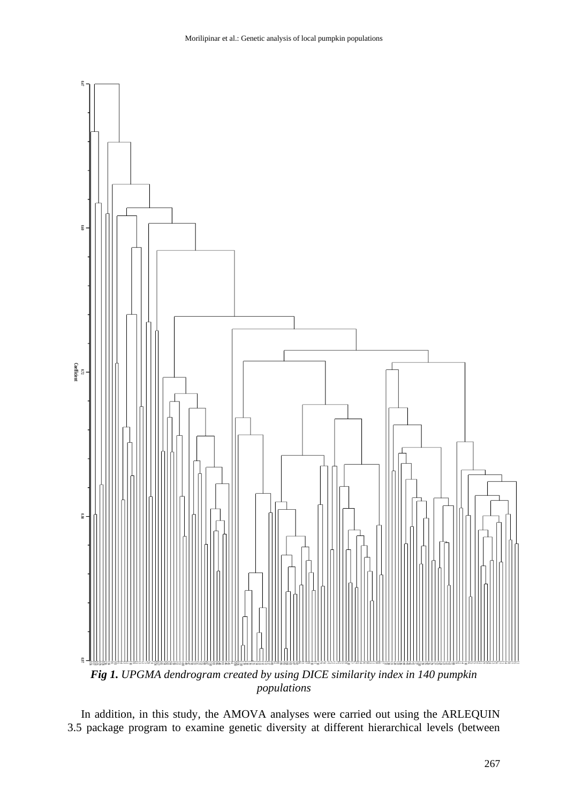

3.5 package program to examine genetic diversity at different hierarchical levels (between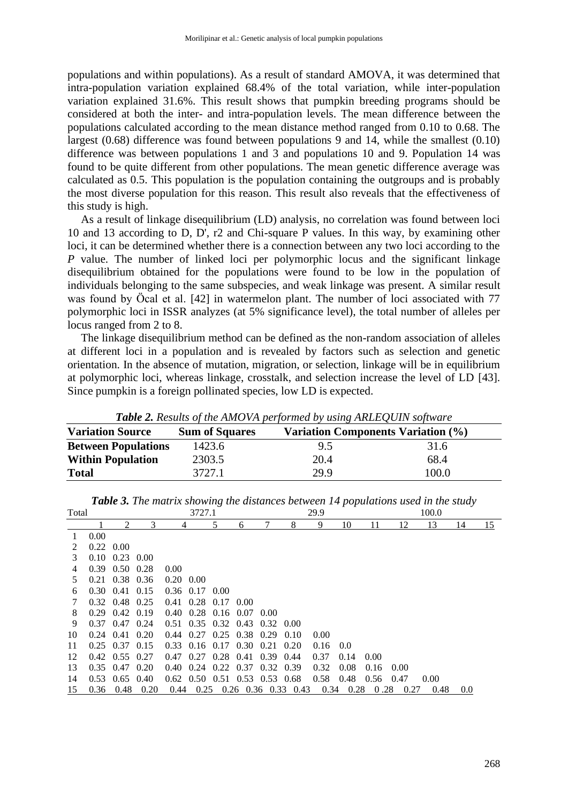populations and within populations). As a result of standard AMOVA, it was determined that intra-population variation explained 68.4% of the total variation, while inter-population variation explained 31.6%. This result shows that pumpkin breeding programs should be considered at both the inter- and intra-population levels. The mean difference between the populations calculated according to the mean distance method ranged from 0.10 to 0.68. The largest (0.68) difference was found between populations 9 and 14, while the smallest (0.10) difference was between populations 1 and 3 and populations 10 and 9. Population 14 was found to be quite different from other populations. The mean genetic difference average was calculated as 0.5. This population is the population containing the outgroups and is probably the most diverse population for this reason. This result also reveals that the effectiveness of this study is high.

As a result of linkage disequilibrium (LD) analysis, no correlation was found between loci 10 and 13 according to D, D', r2 and Chi-square P values. In this way, by examining other loci, it can be determined whether there is a connection between any two loci according to the *P* value. The number of linked loci per polymorphic locus and the significant linkage disequilibrium obtained for the populations were found to be low in the population of individuals belonging to the same subspecies, and weak linkage was present. A similar result was found by Öcal et al. [42] in watermelon plant. The number of loci associated with 77 polymorphic loci in ISSR analyzes (at 5% significance level), the total number of alleles per locus ranged from 2 to 8.

The linkage disequilibrium method can be defined as the non-random association of alleles at different loci in a population and is revealed by factors such as selection and genetic orientation. In the absence of mutation, migration, or selection, linkage will be in equilibrium at polymorphic loci, whereas linkage, crosstalk, and selection increase the level of LD [43]. Since pumpkin is a foreign pollinated species, low LD is expected.

|                            |                       | <b>Table 2.</b> Results of the TimOVIT performed by using TimEDQUIN software |       |  |  |  |  |  |  |  |
|----------------------------|-----------------------|------------------------------------------------------------------------------|-------|--|--|--|--|--|--|--|
| <b>Variation Source</b>    | <b>Sum of Squares</b> | Variation Components Variation (%)                                           |       |  |  |  |  |  |  |  |
| <b>Between Populations</b> | 1423.6                | $9.5^{\circ}$                                                                | 31.6  |  |  |  |  |  |  |  |
| <b>Within Population</b>   | 2303.5                | 20.4                                                                         | 68.4  |  |  |  |  |  |  |  |
| <b>Total</b>               | 3727.1                | 29.9                                                                         | 100.0 |  |  |  |  |  |  |  |

*Table 2. Results of the AMOVA performed by using ARLEQUIN software*

| Total         |              |                              |      |                | 3727.1           |                             |                             |                                           |                            | 29.9 | $\mathbf{1}$ |      |      | 100.0 |     |            |
|---------------|--------------|------------------------------|------|----------------|------------------|-----------------------------|-----------------------------|-------------------------------------------|----------------------------|------|--------------|------|------|-------|-----|------------|
|               |              | 2                            | 3    | 4              |                  | 5                           | 6                           |                                           | 8                          | 9    | 10           | 11   | 12   | 13    | 14  | <u> 15</u> |
|               | 0.00         |                              |      |                |                  |                             |                             |                                           |                            |      |              |      |      |       |     |            |
| $\mathcal{L}$ | $0.22\ 0.00$ |                              |      |                |                  |                             |                             |                                           |                            |      |              |      |      |       |     |            |
| 3             |              | $0.10 \quad 0.23 \quad 0.00$ |      |                |                  |                             |                             |                                           |                            |      |              |      |      |       |     |            |
| 4             |              | $0.39$ $0.50$ $0.28$         |      | 0.00           |                  |                             |                             |                                           |                            |      |              |      |      |       |     |            |
| 5.            |              | $0.21$ $0.38$ $0.36$         |      | $0.20\ 0.00$   |                  |                             |                             |                                           |                            |      |              |      |      |       |     |            |
| 6             |              | $0.30 \quad 0.41 \quad 0.15$ |      |                | $0.36$ 0.17 0.00 |                             |                             |                                           |                            |      |              |      |      |       |     |            |
|               | 0.32         | 0.48 0.25                    |      |                |                  | $0.41$ $0.28$ $0.17$ $0.00$ |                             |                                           |                            |      |              |      |      |       |     |            |
| 8             | 0.29         | 0.42 0.19                    |      |                |                  | $0.40$ $0.28$ $0.16$ $0.07$ |                             | 0.00                                      |                            |      |              |      |      |       |     |            |
| 9             | 0.37         | 0.47                         | 0.24 |                |                  |                             | 0.51 0.35 0.32 0.43 0.32    |                                           | 0.00                       |      |              |      |      |       |     |            |
| 10            | 0.24         | 0.41                         | 0.20 | 0.44           |                  |                             | $0.27$ 0.25 0.38 0.29       |                                           | 0.10                       | 0.00 |              |      |      |       |     |            |
| 11            |              | $0.25$ 0.37 0.15             |      |                |                  |                             | $0.33$ $0.16$ $0.17$ $0.30$ | 0.21                                      | 0.20                       | 0.16 | 0.0          |      |      |       |     |            |
| 12            |              | $0.42 \quad 0.55 \quad 0.27$ |      | 0.47           |                  | $0.27$ $0.28$ $0.41$        |                             | $0.39$ $0.44$                             |                            | 0.37 | 0.14         | 0.00 |      |       |     |            |
| 13            | $0.35$ 0.47  |                              | 0.20 | $0.40^{\circ}$ |                  |                             |                             | $0.24$ $0.22$ $0.37$ $0.32$               | 0.39                       | 0.32 | 0.08         | 0.16 | 0.00 |       |     |            |
| 14            |              | $0.53 \quad 0.65$            | 0.40 |                |                  |                             |                             | $0.62$ $0.50$ $0.51$ $0.53$ $0.53$ $0.68$ |                            | 0.58 | 0.48         | 0.56 | 0.47 | 0.00  |     |            |
| 15            | 0.36         | 0.48                         | 0.20 | 0.44           |                  |                             |                             |                                           | $0.25$ 0.26 0.36 0.33 0.43 | 0.34 | 0.28         | 0.28 | 0.27 | 0.48  | 0.0 |            |

*Table 3. The matrix showing the distances between 14 populations used in the study*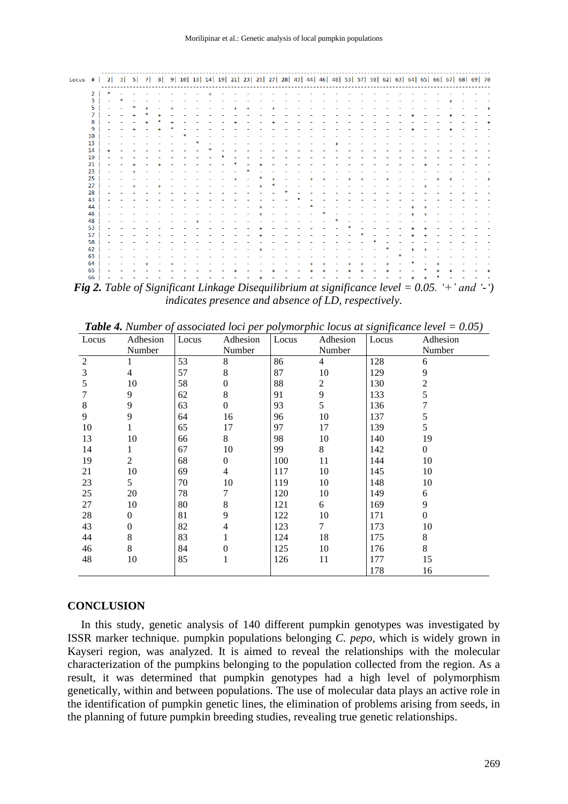| Locus #   2  3 |                         |                | 51 | 7 <sup>1</sup> | 8 |  |  |  |  |  |  |  |  |  |  |  |  | 9 10 13 14 19 21 23 25 27 28 43 44 46 48 53 57 58 62 63 64 65 66 67 68 69 70 |           |
|----------------|-------------------------|----------------|----|----------------|---|--|--|--|--|--|--|--|--|--|--|--|--|------------------------------------------------------------------------------|-----------|
|                | $\overline{2}$          |                |    |                |   |  |  |  |  |  |  |  |  |  |  |  |  |                                                                              |           |
|                | $\overline{\mathbf{3}}$ | $\overline{a}$ |    |                |   |  |  |  |  |  |  |  |  |  |  |  |  |                                                                              |           |
|                | 5 <sup>1</sup>          |                |    |                |   |  |  |  |  |  |  |  |  |  |  |  |  |                                                                              | $\ddot{}$ |
|                | $\overline{7}$          |                | ÷  |                |   |  |  |  |  |  |  |  |  |  |  |  |  |                                                                              |           |
|                | 8                       |                |    |                |   |  |  |  |  |  |  |  |  |  |  |  |  |                                                                              | $\ddot{}$ |
|                | 9                       |                |    |                |   |  |  |  |  |  |  |  |  |  |  |  |  |                                                                              |           |
|                | 10                      |                |    |                |   |  |  |  |  |  |  |  |  |  |  |  |  |                                                                              |           |
|                | 13                      |                |    |                |   |  |  |  |  |  |  |  |  |  |  |  |  |                                                                              |           |
|                | 14                      |                |    |                |   |  |  |  |  |  |  |  |  |  |  |  |  |                                                                              |           |
|                | 19                      |                |    |                |   |  |  |  |  |  |  |  |  |  |  |  |  |                                                                              |           |
|                | 21                      |                |    |                |   |  |  |  |  |  |  |  |  |  |  |  |  |                                                                              |           |
|                | 23                      |                |    |                |   |  |  |  |  |  |  |  |  |  |  |  |  |                                                                              |           |
|                | 25                      |                |    |                |   |  |  |  |  |  |  |  |  |  |  |  |  |                                                                              | $\ddot{}$ |
|                | 27                      |                |    |                |   |  |  |  |  |  |  |  |  |  |  |  |  |                                                                              |           |
|                | 28                      |                |    |                |   |  |  |  |  |  |  |  |  |  |  |  |  |                                                                              |           |
|                | 43                      |                |    |                |   |  |  |  |  |  |  |  |  |  |  |  |  |                                                                              |           |
|                | 44                      |                |    |                |   |  |  |  |  |  |  |  |  |  |  |  |  |                                                                              |           |
|                | 46                      |                |    |                |   |  |  |  |  |  |  |  |  |  |  |  |  |                                                                              |           |
|                | 48                      |                |    |                |   |  |  |  |  |  |  |  |  |  |  |  |  |                                                                              |           |
|                | 53                      |                |    |                |   |  |  |  |  |  |  |  |  |  |  |  |  |                                                                              |           |
|                | 57                      |                |    |                |   |  |  |  |  |  |  |  |  |  |  |  |  |                                                                              |           |
|                | 58                      |                |    |                |   |  |  |  |  |  |  |  |  |  |  |  |  |                                                                              |           |
|                | 62                      |                |    |                |   |  |  |  |  |  |  |  |  |  |  |  |  |                                                                              |           |
|                | 63                      |                |    |                |   |  |  |  |  |  |  |  |  |  |  |  |  |                                                                              |           |
|                | 64                      |                |    |                |   |  |  |  |  |  |  |  |  |  |  |  |  |                                                                              |           |
|                | 65                      |                |    |                |   |  |  |  |  |  |  |  |  |  |  |  |  |                                                                              | $\ddot{}$ |
|                | 66                      |                |    |                |   |  |  |  |  |  |  |  |  |  |  |  |  |                                                                              |           |

*Fig 2. Table of Significant Linkage Disequilibrium at significance level = 0.05. '+' and '-') indicates presence and absence of LD, respectively.*

|                |                |       |          |       |                |       | <b>Tuble 4.</b> Thanber of associated lock per portinorphic locus at significance level $= 0.03$ f |
|----------------|----------------|-------|----------|-------|----------------|-------|----------------------------------------------------------------------------------------------------|
| Locus          | Adhesion       | Locus | Adhesion | Locus | Adhesion       | Locus | Adhesion                                                                                           |
|                | Number         |       | Number   |       | Number         |       | Number                                                                                             |
| $\overline{2}$ |                | 53    | 8        | 86    | $\overline{4}$ | 128   | 6                                                                                                  |
| 3              | $\overline{4}$ | 57    | 8        | 87    | 10             | 129   | 9                                                                                                  |
| 5              | 10             | 58    | 0        | 88    | 2              | 130   | 2                                                                                                  |
|                | 9              | 62    | 8        | 91    | 9              | 133   | 5                                                                                                  |
| 8              | 9              | 63    | $\theta$ | 93    | 5              | 136   |                                                                                                    |
| 9              | 9              | 64    | 16       | 96    | 10             | 137   | 5                                                                                                  |
| 10             |                | 65    | 17       | 97    | 17             | 139   | 5                                                                                                  |
| 13             | 10             | 66    | 8        | 98    | 10             | 140   | 19                                                                                                 |
| 14             |                | 67    | 10       | 99    | 8              | 142   | 0                                                                                                  |
| 19             | 2              | 68    | $\Omega$ | 100   | 11             | 144   | 10                                                                                                 |
| 21             | 10             | 69    | 4        | 117   | 10             | 145   | 10                                                                                                 |
| 23             | 5              | 70    | 10       | 119   | 10             | 148   | 10                                                                                                 |
| 25             | 20             | 78    | 7        | 120   | 10             | 149   | 6                                                                                                  |
| 27             | 10             | 80    | 8        | 121   | 6              | 169   | 9                                                                                                  |
| 28             | $\theta$       | 81    | 9        | 122   | 10             | 171   | 0                                                                                                  |
| 43             | $\theta$       | 82    | 4        | 123   | $\tau$         | 173   | 10                                                                                                 |
| 44             | 8              | 83    | 1        | 124   | 18             | 175   | 8                                                                                                  |
| 46             | 8              | 84    | $\Omega$ | 125   | 10             | 176   | 8                                                                                                  |
| 48             | 10             | 85    | 1        | 126   | 11             | 177   | 15                                                                                                 |
|                |                |       |          |       |                | 178   | 16                                                                                                 |

*Table 4. Number of associated loci per polymorphic locus at significance level = 0.05)*

#### **CONCLUSION**

In this study, genetic analysis of 140 different pumpkin genotypes was investigated by ISSR marker technique. pumpkin populations belonging *C. pepo*, which is widely grown in Kayseri region, was analyzed. It is aimed to reveal the relationships with the molecular characterization of the pumpkins belonging to the population collected from the region. As a result, it was determined that pumpkin genotypes had a high level of polymorphism genetically, within and between populations. The use of molecular data plays an active role in the identification of pumpkin genetic lines, the elimination of problems arising from seeds, in the planning of future pumpkin breeding studies, revealing true genetic relationships.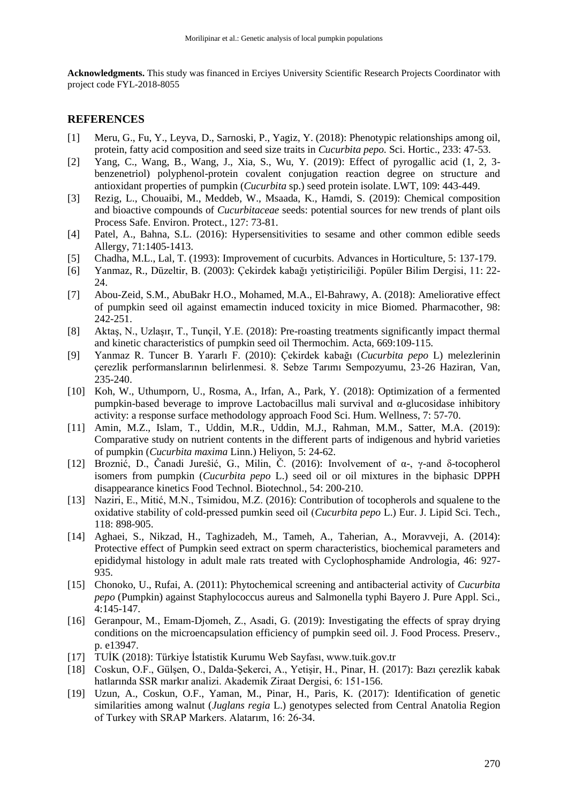**Acknowledgments.** This study was financed in Erciyes University Scientific Research Projects Coordinator with project code FYL-2018-8055

## **REFERENCES**

- [1] Meru, G., Fu, Y., Leyva, D., Sarnoski, P., Yagiz, Y. (2018): Phenotypic relationships among oil, protein, fatty acid composition and seed size traits in *Cucurbita pepo.* Sci. Hortic., 233: 47-53.
- [2] Yang, C., Wang, B., Wang, J., Xia, S., Wu, Y. (2019): Effect of pyrogallic acid (1, 2, 3 benzenetriol) polyphenol-protein covalent conjugation reaction degree on structure and antioxidant properties of pumpkin (*Cucurbita* sp.) seed protein isolate. LWT, 109: 443-449.
- [3] Rezig, L., Chouaibi, M., Meddeb, W., Msaada, K., Hamdi, S. (2019): Chemical composition and bioactive compounds of *Cucurbitaceae* seeds: potential sources for new trends of plant oils Process Safe. Environ. Protect., 127: 73-81.
- [4] Patel, A., Bahna, S.L. (2016): Hypersensitivities to sesame and other common edible seeds Allergy, 71:1405-1413.
- [5] Chadha, M.L., Lal, T. (1993): Improvement of cucurbits. Advances in Horticulture, 5: 137-179.
- [6] Yanmaz, R., Düzeltir, B. (2003): Çekirdek kabağı yetiştiriciliği. Popüler Bilim Dergisi, 11: 22- 24.
- [7] Abou-Zeid, S.M., AbuBakr H.O., Mohamed, M.A., El-Bahrawy, A. (2018): Ameliorative effect of pumpkin seed oil against emamectin induced toxicity in mice Biomed. Pharmacother, 98: 242-251.
- [8] Aktaş, N., Uzlaşır, T., Tunçil, Y.E. (2018): Pre-roasting treatments significantly impact thermal and kinetic characteristics of pumpkin seed oil Thermochim. Acta, 669:109-115.
- [9] Yanmaz R. Tuncer B. Yararlı F. (2010): Çekirdek kabağı (*Cucurbita pepo* L) melezlerinin çerezlik performanslarının belirlenmesi. 8. Sebze Tarımı Sempozyumu, 23-26 Haziran, Van, 235-240.
- [10] Koh, W., Uthumporn, U., Rosma, A., Irfan, A., Park, Y. (2018): Optimization of a fermented pumpkin-based beverage to improve Lactobacillus mali survival and α-glucosidase inhibitory activity: a response surface methodology approach Food Sci. Hum. Wellness, 7: 57-70.
- [11] Amin, M.Z., Islam, T., Uddin, M.R., Uddin, M.J., Rahman, M.M., Satter, M.A. (2019): Comparative study on nutrient contents in the different parts of indigenous and hybrid varieties of pumpkin (*Cucurbita maxima* Linn.) Heliyon, 5: 24-62.
- [12] Broznić, D., Čanadi Jurešić, G., Milin, Č. (2016): Involvement of α-, γ-and δ-tocopherol isomers from pumpkin (*Cucurbita pepo* L.) seed oil or oil mixtures in the biphasic DPPH disappearance kinetics Food Technol. Biotechnol., 54: 200-210.
- [13] Naziri, E., Mitić, M.N., Tsimidou, M.Z. (2016): Contribution of tocopherols and squalene to the oxidative stability of cold‐pressed pumkin seed oil (*Cucurbita pepo* L.) Eur. J. Lipid Sci. Tech., 118: 898-905.
- [14] Aghaei, S., Nikzad, H., Taghizadeh, M., Tameh, A., Taherian, A., Moravveji, A. (2014): Protective effect of Pumpkin seed extract on sperm characteristics, biochemical parameters and epididymal histology in adult male rats treated with Cyclophosphamide Andrologia, 46: 927- 935.
- [15] Chonoko, U., Rufai, A. (2011): Phytochemical screening and antibacterial activity of *Cucurbita pepo* (Pumpkin) against Staphylococcus aureus and Salmonella typhi Bayero J. Pure Appl. Sci., 4:145-147.
- [16] Geranpour, M., Emam-Djomeh, Z., Asadi, G. (2019): Investigating the effects of spray drying conditions on the microencapsulation efficiency of pumpkin seed oil. J. Food Process. Preserv., p. e13947.
- [17] TUİK (2018): Türkiye İstatistik Kurumu Web Sayfası, www.tuik.gov.tr
- [18] Coskun, O.F., Gülşen, O., Dalda-Şekerci, A., Yetişir, H., Pinar, H. (2017): Bazı çerezlik kabak hatlarında SSR markır analizi. Akademik Ziraat Dergisi, 6: 151-156.
- [19] Uzun, A., Coskun, O.F., Yaman, M., Pinar, H., Paris, K. (2017): Identification of genetic similarities among walnut (*Juglans regia* L.) genotypes selected from Central Anatolia Region of Turkey with SRAP Markers. Alatarım, 16: 26-34.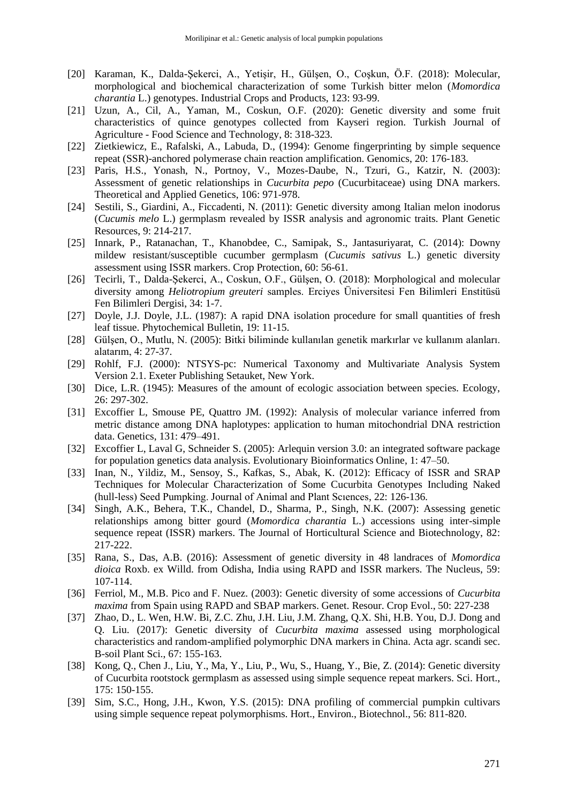- [20] Karaman, K., Dalda-Şekerci, A., Yetişir, H., Gülşen, O., Coşkun, Ö.F. (2018): Molecular, morphological and biochemical characterization of some Turkish bitter melon (*Momordica charantia* L.) genotypes. Industrial Crops and Products, 123: 93-99.
- [21] Uzun, A., Cil, A., Yaman, M., Coskun, O.F. (2020): Genetic diversity and some fruit characteristics of quince genotypes collected from Kayseri region. Turkish Journal of Agriculture - Food Science and Technology, 8: 318-323.
- [22] Zietkiewicz, E., Rafalski, A., Labuda, D., (1994): Genome fingerprinting by simple sequence repeat (SSR)-anchored polymerase chain reaction amplification. Genomics, 20: 176-183.
- [23] Paris, H.S., Yonash, N., Portnoy, V., Mozes-Daube, N., Tzuri, G., Katzir, N. (2003): Assessment of genetic relationships in *Cucurbita pepo* (Cucurbitaceae) using DNA markers. Theoretical and Applied Genetics, 106: 971-978.
- [24] Sestili, S., Giardini, A., Ficcadenti, N. (2011): Genetic diversity among Italian melon inodorus (*Cucumis melo* L.) germplasm revealed by ISSR analysis and agronomic traits. Plant Genetic Resources, 9: 214-217.
- [25] Innark, P., Ratanachan, T., Khanobdee, C., Samipak, S., Jantasuriyarat, C. (2014): Downy mildew resistant/susceptible cucumber germplasm (*Cucumis sativus* L.) genetic diversity assessment using ISSR markers. Crop Protection, 60: 56-61.
- [26] Tecirli, T., Dalda-Şekerci, A., Coskun, O.F., Gülşen, O. (2018): Morphological and molecular diversity among *Heliotropium greuteri* samples. Erciyes Üniversitesi Fen Bilimleri Enstitüsü Fen Bilimleri Dergisi, 34: 1-7.
- [27] Doyle, J.J. Doyle, J.L. (1987): A rapid DNA isolation procedure for small quantities of fresh leaf tissue. Phytochemical Bulletin, 19: 11-15.
- [28] Gülşen, O., Mutlu, N. (2005): Bitki biliminde kullanılan genetik markırlar ve kullanım alanları. alatarım, 4: 27-37.
- [29] Rohlf, F.J. (2000): NTSYS-pc: Numerical Taxonomy and Multivariate Analysis System Version 2.1. Exeter Publishing Setauket, New York.
- [30] Dice, L.R. (1945): Measures of the amount of ecologic association between species. Ecology, 26: 297-302.
- [31] Excoffier L, Smouse PE, Quattro JM. (1992): Analysis of molecular variance inferred from metric distance among DNA haplotypes: application to human mitochondrial DNA restriction data. Genetics, 131: 479–491.
- [32] Excoffier L, Laval G, Schneider S. (2005): Arlequin version 3.0: an integrated software package for population genetics data analysis. Evolutionary Bioinformatics Online, 1: 47–50.
- [33] Inan, N., Yildiz, M., Sensoy, S., Kafkas, S., Abak, K. (2012): Efficacy of ISSR and SRAP Techniques for Molecular Characterization of Some Cucurbita Genotypes Including Naked (hull-less) Seed Pumpking. Journal of Animal and Plant Scıences, 22: 126-136.
- [34] Singh, A.K., Behera, T.K., Chandel, D., Sharma, P., Singh, N.K. (2007): Assessing genetic relationships among bitter gourd (*Momordica charantia* L.) accessions using inter-simple sequence repeat (ISSR) markers. The Journal of Horticultural Science and Biotechnology, 82: 217-222.
- [35] Rana, S., Das, A.B. (2016): Assessment of genetic diversity in 48 landraces of *Momordica dioica* Roxb. ex Willd. from Odisha, India using RAPD and ISSR markers. The Nucleus, 59: 107-114.
- [36] Ferriol, M., M.B. Pico and F. Nuez. (2003): Genetic diversity of some accessions of *Cucurbita maxima* from Spain using RAPD and SBAP markers. Genet. Resour. Crop Evol., 50: 227-238
- [37] Zhao, D., L. Wen, H.W. Bi, Z.C. Zhu, J.H. Liu, J.M. Zhang, Q.X. Shi, H.B. You, D.J. Dong and Q. Liu. (2017): Genetic diversity of *Cucurbita maxima* assessed using morphological characteristics and random-amplified polymorphic DNA markers in China. Acta agr. scandi sec. B-soil Plant Sci., 67: 155-163.
- [38] Kong, Q., Chen J., Liu, Y., Ma, Y., Liu, P., Wu, S., Huang, Y., Bie, Z. (2014): Genetic diversity of Cucurbita rootstock germplasm as assessed using simple sequence repeat markers. Sci. Hort., 175: 150-155.
- [39] Sim, S.C., Hong, J.H., Kwon, Y.S. (2015): DNA profiling of commercial pumpkin cultivars using simple sequence repeat polymorphisms. Hort., Environ., Biotechnol., 56: 811-820.